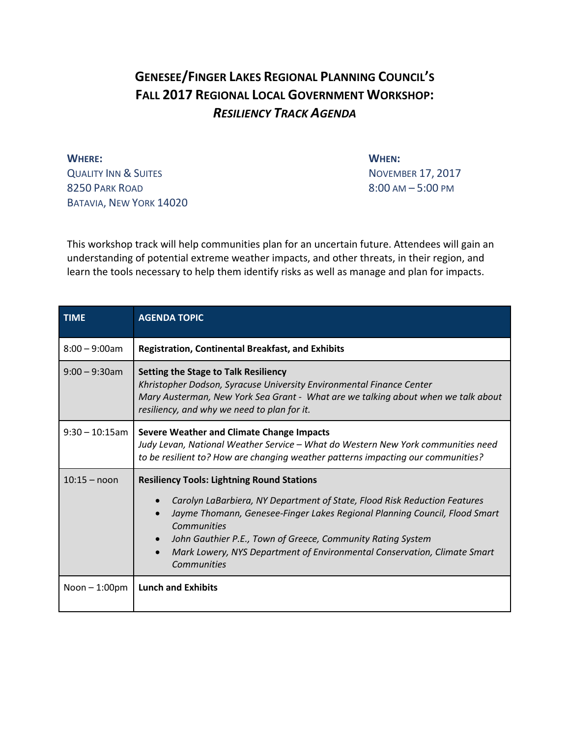## **GENESEE/FINGER LAKES REGIONAL PLANNING COUNCIL'S FALL 2017 REGIONAL LOCAL GOVERNMENT WORKSHOP:** *RESILIENCY TRACK AGENDA*

**WHERE: WHEN:** QUALITY INN & SUITES NOVEMBER 17, 2017 8250 PARK ROAD 8:00 AM – 5:00 PM BATAVIA, NEW YORK 14020

This workshop track will help communities plan for an uncertain future. Attendees will gain an understanding of potential extreme weather impacts, and other threats, in their region, and learn the tools necessary to help them identify risks as well as manage and plan for impacts.

| <b>TIME</b>       | <b>AGENDA TOPIC</b>                                                                                                                                                                                                                                                                                                                                                                                             |
|-------------------|-----------------------------------------------------------------------------------------------------------------------------------------------------------------------------------------------------------------------------------------------------------------------------------------------------------------------------------------------------------------------------------------------------------------|
| $8:00 - 9:00$ am  | <b>Registration, Continental Breakfast, and Exhibits</b>                                                                                                                                                                                                                                                                                                                                                        |
| $9:00 - 9:30$ am  | <b>Setting the Stage to Talk Resiliency</b><br>Khristopher Dodson, Syracuse University Environmental Finance Center<br>Mary Austerman, New York Sea Grant - What are we talking about when we talk about<br>resiliency, and why we need to plan for it.                                                                                                                                                         |
| $9:30 - 10:15$ am | <b>Severe Weather and Climate Change Impacts</b><br>Judy Levan, National Weather Service - What do Western New York communities need<br>to be resilient to? How are changing weather patterns impacting our communities?                                                                                                                                                                                        |
| $10:15 -$ noon    | <b>Resiliency Tools: Lightning Round Stations</b><br>Carolyn LaBarbiera, NY Department of State, Flood Risk Reduction Features<br>$\bullet$<br>Jayme Thomann, Genesee-Finger Lakes Regional Planning Council, Flood Smart<br>Communities<br>John Gauthier P.E., Town of Greece, Community Rating System<br>Mark Lowery, NYS Department of Environmental Conservation, Climate Smart<br>$\bullet$<br>Communities |
| Noon $-1:00$ pm   | <b>Lunch and Exhibits</b>                                                                                                                                                                                                                                                                                                                                                                                       |